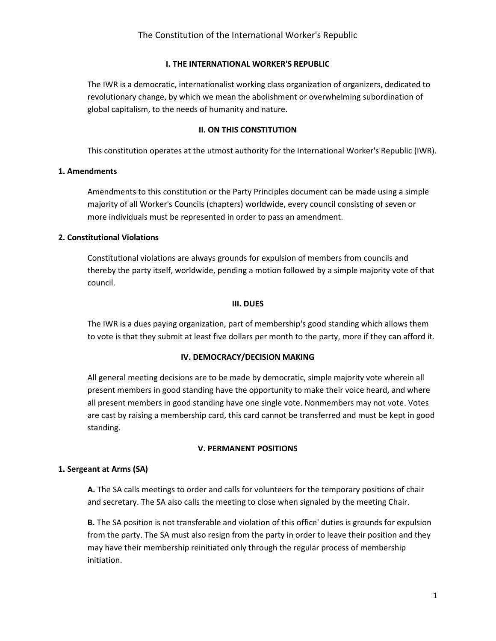## I. THE INTERNATIONAL WORKER'S REPUBLIC

The IWR is a democratic, internationalist working class organization of organizers, dedicated to revolutionary change, by which we mean the abolishment or overwhelming subordination of global capitalism, to the needs of humanity and nature.

## II. ON THIS CONSTITUTION

This constitution operates at the utmost authority for the International Worker's Republic (IWR).

## 1. Amendments

Amendments to this constitution or the Party Principles document can be made using a simple majority of all Worker's Councils (chapters) worldwide, every council consisting of seven or more individuals must be represented in order to pass an amendment.

## 2. Constitutional Violations

Constitutional violations are always grounds for expulsion of members from councils and thereby the party itself, worldwide, pending a motion followed by a simple majority vote of that council.

## III. DUES

The IWR is a dues paying organization, part of membership's good standing which allows them to vote is that they submit at least five dollars per month to the party, more if they can afford it.

## IV. DEMOCRACY/DECISION MAKING

All general meeting decisions are to be made by democratic, simple majority vote wherein all present members in good standing have the opportunity to make their voice heard, and where all present members in good standing have one single vote. Nonmembers may not vote. Votes are cast by raising a membership card, this card cannot be transferred and must be kept in good standing.

## V. PERMANENT POSITIONS

## 1. Sergeant at Arms (SA)

A. The SA calls meetings to order and calls for volunteers for the temporary positions of chair and secretary. The SA also calls the meeting to close when signaled by the meeting Chair.

B. The SA position is not transferable and violation of this office' duties is grounds for expulsion from the party. The SA must also resign from the party in order to leave their position and they may have their membership reinitiated only through the regular process of membership initiation.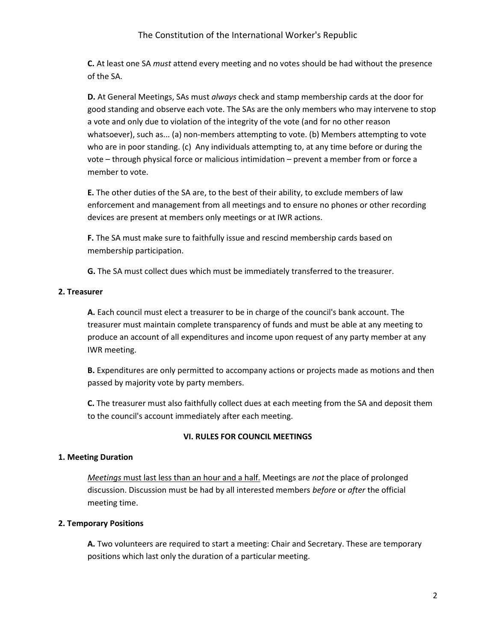**C.** At least one SA *must* attend every meeting and no votes should be had without the presence of the SA.

D. At General Meetings, SAs must always check and stamp membership cards at the door for good standing and observe each vote. The SAs are the only members who may intervene to stop a vote and only due to violation of the integrity of the vote (and for no other reason whatsoever), such as... (a) non-members attempting to vote. (b) Members attempting to vote who are in poor standing. (c) Any individuals attempting to, at any time before or during the vote – through physical force or malicious intimidation – prevent a member from or force a member to vote.

E. The other duties of the SA are, to the best of their ability, to exclude members of law enforcement and management from all meetings and to ensure no phones or other recording devices are present at members only meetings or at IWR actions.

F. The SA must make sure to faithfully issue and rescind membership cards based on membership participation.

G. The SA must collect dues which must be immediately transferred to the treasurer.

# 2. Treasurer

A. Each council must elect a treasurer to be in charge of the council's bank account. The treasurer must maintain complete transparency of funds and must be able at any meeting to produce an account of all expenditures and income upon request of any party member at any IWR meeting.

B. Expenditures are only permitted to accompany actions or projects made as motions and then passed by majority vote by party members.

C. The treasurer must also faithfully collect dues at each meeting from the SA and deposit them to the council's account immediately after each meeting.

# VI. RULES FOR COUNCIL MEETINGS

## 1. Meeting Duration

Meetings must last less than an hour and a half. Meetings are not the place of prolonged discussion. Discussion must be had by all interested members before or after the official meeting time.

# 2. Temporary Positions

A. Two volunteers are required to start a meeting: Chair and Secretary. These are temporary positions which last only the duration of a particular meeting.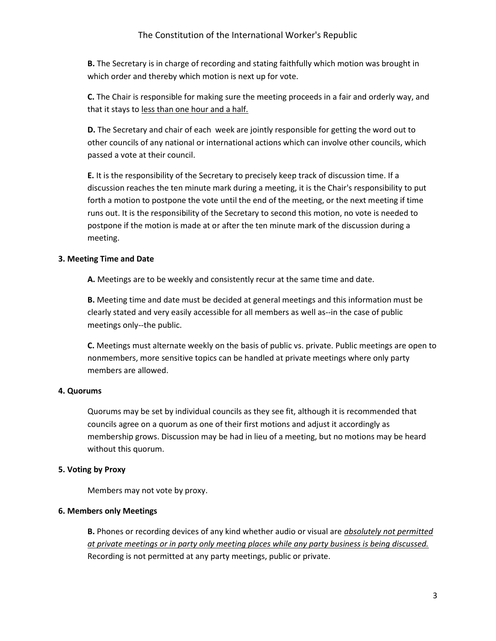**B.** The Secretary is in charge of recording and stating faithfully which motion was brought in which order and thereby which motion is next up for vote.

C. The Chair is responsible for making sure the meeting proceeds in a fair and orderly way, and that it stays to less than one hour and a half.

D. The Secretary and chair of each week are jointly responsible for getting the word out to other councils of any national or international actions which can involve other councils, which passed a vote at their council.

E. It is the responsibility of the Secretary to precisely keep track of discussion time. If a discussion reaches the ten minute mark during a meeting, it is the Chair's responsibility to put forth a motion to postpone the vote until the end of the meeting, or the next meeting if time runs out. It is the responsibility of the Secretary to second this motion, no vote is needed to postpone if the motion is made at or after the ten minute mark of the discussion during a meeting.

## 3. Meeting Time and Date

A. Meetings are to be weekly and consistently recur at the same time and date.

B. Meeting time and date must be decided at general meetings and this information must be clearly stated and very easily accessible for all members as well as--in the case of public meetings only--the public.

C. Meetings must alternate weekly on the basis of public vs. private. Public meetings are open to nonmembers, more sensitive topics can be handled at private meetings where only party members are allowed.

## 4. Quorums

Quorums may be set by individual councils as they see fit, although it is recommended that councils agree on a quorum as one of their first motions and adjust it accordingly as membership grows. Discussion may be had in lieu of a meeting, but no motions may be heard without this quorum.

## 5. Voting by Proxy

Members may not vote by proxy.

## 6. Members only Meetings

**B.** Phones or recording devices of any kind whether audio or visual are *absolutely not permitted* at private meetings or in party only meeting places while any party business is being discussed. Recording is not permitted at any party meetings, public or private.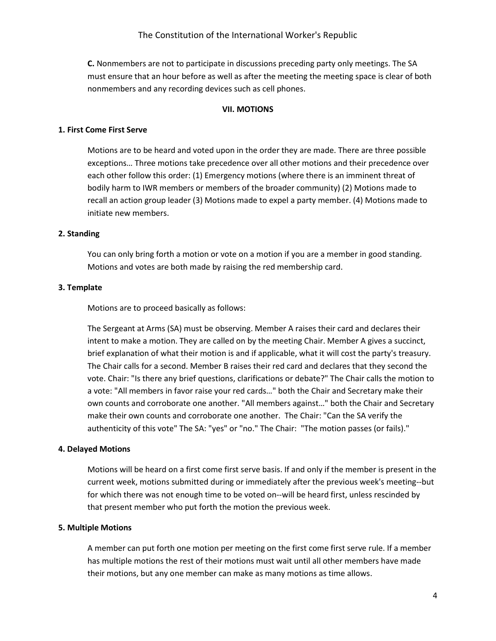C. Nonmembers are not to participate in discussions preceding party only meetings. The SA must ensure that an hour before as well as after the meeting the meeting space is clear of both nonmembers and any recording devices such as cell phones.

## VII. MOTIONS

#### 1. First Come First Serve

Motions are to be heard and voted upon in the order they are made. There are three possible exceptions… Three motions take precedence over all other motions and their precedence over each other follow this order: (1) Emergency motions (where there is an imminent threat of bodily harm to IWR members or members of the broader community) (2) Motions made to recall an action group leader (3) Motions made to expel a party member. (4) Motions made to initiate new members.

#### 2. Standing

You can only bring forth a motion or vote on a motion if you are a member in good standing. Motions and votes are both made by raising the red membership card.

#### 3. Template

Motions are to proceed basically as follows:

The Sergeant at Arms (SA) must be observing. Member A raises their card and declares their intent to make a motion. They are called on by the meeting Chair. Member A gives a succinct, brief explanation of what their motion is and if applicable, what it will cost the party's treasury. The Chair calls for a second. Member B raises their red card and declares that they second the vote. Chair: "Is there any brief questions, clarifications or debate?" The Chair calls the motion to a vote: "All members in favor raise your red cards…" both the Chair and Secretary make their own counts and corroborate one another. "All members against…" both the Chair and Secretary make their own counts and corroborate one another. The Chair: "Can the SA verify the authenticity of this vote" The SA: "yes" or "no." The Chair: "The motion passes (or fails)."

#### 4. Delayed Motions

Motions will be heard on a first come first serve basis. If and only if the member is present in the current week, motions submitted during or immediately after the previous week's meeting--but for which there was not enough time to be voted on--will be heard first, unless rescinded by that present member who put forth the motion the previous week.

#### 5. Multiple Motions

A member can put forth one motion per meeting on the first come first serve rule. If a member has multiple motions the rest of their motions must wait until all other members have made their motions, but any one member can make as many motions as time allows.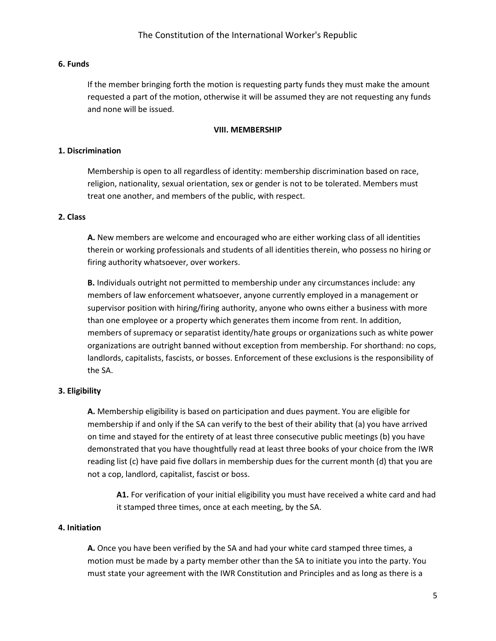## 6. Funds

If the member bringing forth the motion is requesting party funds they must make the amount requested a part of the motion, otherwise it will be assumed they are not requesting any funds and none will be issued.

## VIII. MEMBERSHIP

## 1. Discrimination

Membership is open to all regardless of identity: membership discrimination based on race, religion, nationality, sexual orientation, sex or gender is not to be tolerated. Members must treat one another, and members of the public, with respect.

## 2. Class

A. New members are welcome and encouraged who are either working class of all identities therein or working professionals and students of all identities therein, who possess no hiring or firing authority whatsoever, over workers.

B. Individuals outright not permitted to membership under any circumstances include: any members of law enforcement whatsoever, anyone currently employed in a management or supervisor position with hiring/firing authority, anyone who owns either a business with more than one employee or a property which generates them income from rent. In addition, members of supremacy or separatist identity/hate groups or organizations such as white power organizations are outright banned without exception from membership. For shorthand: no cops, landlords, capitalists, fascists, or bosses. Enforcement of these exclusions is the responsibility of the SA.

## 3. Eligibility

A. Membership eligibility is based on participation and dues payment. You are eligible for membership if and only if the SA can verify to the best of their ability that (a) you have arrived on time and stayed for the entirety of at least three consecutive public meetings (b) you have demonstrated that you have thoughtfully read at least three books of your choice from the IWR reading list (c) have paid five dollars in membership dues for the current month (d) that you are not a cop, landlord, capitalist, fascist or boss.

A1. For verification of your initial eligibility you must have received a white card and had it stamped three times, once at each meeting, by the SA.

## 4. Initiation

A. Once you have been verified by the SA and had your white card stamped three times, a motion must be made by a party member other than the SA to initiate you into the party. You must state your agreement with the IWR Constitution and Principles and as long as there is a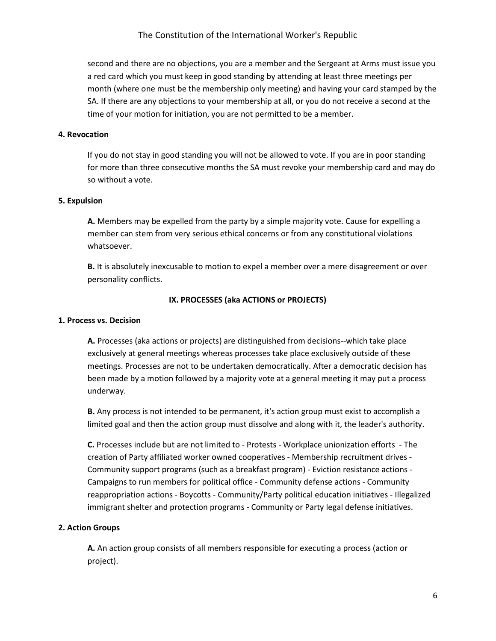second and there are no objections, you are a member and the Sergeant at Arms must issue you a red card which you must keep in good standing by attending at least three meetings per month (where one must be the membership only meeting) and having your card stamped by the SA. If there are any objections to your membership at all, or you do not receive a second at the time of your motion for initiation, you are not permitted to be a member.

## 4. Revocation

If you do not stay in good standing you will not be allowed to vote. If you are in poor standing for more than three consecutive months the SA must revoke your membership card and may do so without a vote.

#### 5. Expulsion

A. Members may be expelled from the party by a simple majority vote. Cause for expelling a member can stem from very serious ethical concerns or from any constitutional violations whatsoever.

**B.** It is absolutely inexcusable to motion to expel a member over a mere disagreement or over personality conflicts.

## IX. PROCESSES (aka ACTIONS or PROJECTS)

#### 1. Process vs. Decision

A. Processes (aka actions or projects) are distinguished from decisions--which take place exclusively at general meetings whereas processes take place exclusively outside of these meetings. Processes are not to be undertaken democratically. After a democratic decision has been made by a motion followed by a majority vote at a general meeting it may put a process underway.

B. Any process is not intended to be permanent, it's action group must exist to accomplish a limited goal and then the action group must dissolve and along with it, the leader's authority.

C. Processes include but are not limited to - Protests - Workplace unionization efforts - The creation of Party affiliated worker owned cooperatives - Membership recruitment drives - Community support programs (such as a breakfast program) - Eviction resistance actions - Campaigns to run members for political office - Community defense actions - Community reappropriation actions - Boycotts - Community/Party political education initiatives - Illegalized immigrant shelter and protection programs - Community or Party legal defense initiatives.

#### 2. Action Groups

A. An action group consists of all members responsible for executing a process (action or project).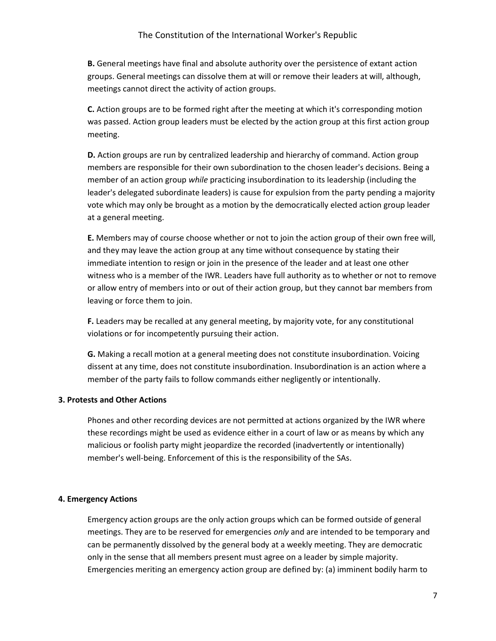B. General meetings have final and absolute authority over the persistence of extant action groups. General meetings can dissolve them at will or remove their leaders at will, although, meetings cannot direct the activity of action groups.

C. Action groups are to be formed right after the meeting at which it's corresponding motion was passed. Action group leaders must be elected by the action group at this first action group meeting.

D. Action groups are run by centralized leadership and hierarchy of command. Action group members are responsible for their own subordination to the chosen leader's decisions. Being a member of an action group while practicing insubordination to its leadership (including the leader's delegated subordinate leaders) is cause for expulsion from the party pending a majority vote which may only be brought as a motion by the democratically elected action group leader at a general meeting.

E. Members may of course choose whether or not to join the action group of their own free will, and they may leave the action group at any time without consequence by stating their immediate intention to resign or join in the presence of the leader and at least one other witness who is a member of the IWR. Leaders have full authority as to whether or not to remove or allow entry of members into or out of their action group, but they cannot bar members from leaving or force them to join.

F. Leaders may be recalled at any general meeting, by majority vote, for any constitutional violations or for incompetently pursuing their action.

G. Making a recall motion at a general meeting does not constitute insubordination. Voicing dissent at any time, does not constitute insubordination. Insubordination is an action where a member of the party fails to follow commands either negligently or intentionally.

## 3. Protests and Other Actions

Phones and other recording devices are not permitted at actions organized by the IWR where these recordings might be used as evidence either in a court of law or as means by which any malicious or foolish party might jeopardize the recorded (inadvertently or intentionally) member's well-being. Enforcement of this is the responsibility of the SAs.

## 4. Emergency Actions

Emergency action groups are the only action groups which can be formed outside of general meetings. They are to be reserved for emergencies only and are intended to be temporary and can be permanently dissolved by the general body at a weekly meeting. They are democratic only in the sense that all members present must agree on a leader by simple majority. Emergencies meriting an emergency action group are defined by: (a) imminent bodily harm to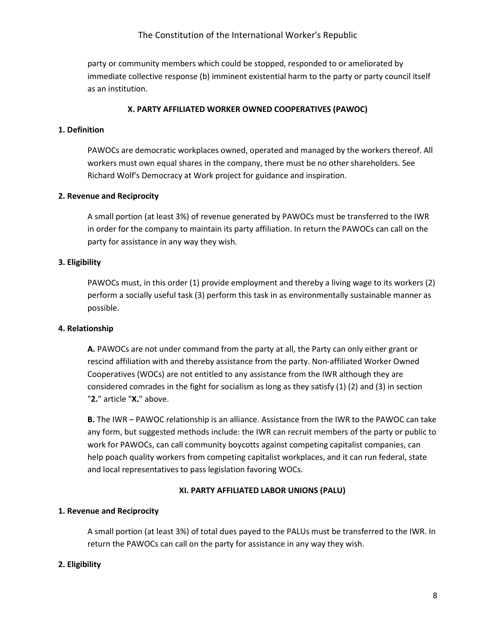## The Constitution of the International Worker's Republic

party or community members which could be stopped, responded to or ameliorated by immediate collective response (b) imminent existential harm to the party or party council itself as an institution.

## X. PARTY AFFILIATED WORKER OWNED COOPERATIVES (PAWOC)

## 1. Definition

PAWOCs are democratic workplaces owned, operated and managed by the workers thereof. All workers must own equal shares in the company, there must be no other shareholders. See Richard Wolf's Democracy at Work project for guidance and inspiration.

## 2. Revenue and Reciprocity

A small portion (at least 3%) of revenue generated by PAWOCs must be transferred to the IWR in order for the company to maintain its party affiliation. In return the PAWOCs can call on the party for assistance in any way they wish.

## 3. Eligibility

PAWOCs must, in this order (1) provide employment and thereby a living wage to its workers (2) perform a socially useful task (3) perform this task in as environmentally sustainable manner as possible.

## 4. Relationship

A. PAWOCs are not under command from the party at all, the Party can only either grant or rescind affiliation with and thereby assistance from the party. Non-affiliated Worker Owned Cooperatives (WOCs) are not entitled to any assistance from the IWR although they are considered comrades in the fight for socialism as long as they satisfy (1) (2) and (3) in section "2." article "X." above.

B. The IWR – PAWOC relationship is an alliance. Assistance from the IWR to the PAWOC can take any form, but suggested methods include: the IWR can recruit members of the party or public to work for PAWOCs, can call community boycotts against competing capitalist companies, can help poach quality workers from competing capitalist workplaces, and it can run federal, state and local representatives to pass legislation favoring WOCs.

## XI. PARTY AFFILIATED LABOR UNIONS (PALU)

## 1. Revenue and Reciprocity

A small portion (at least 3%) of total dues payed to the PALUs must be transferred to the IWR. In return the PAWOCs can call on the party for assistance in any way they wish.

## 2. Eligibility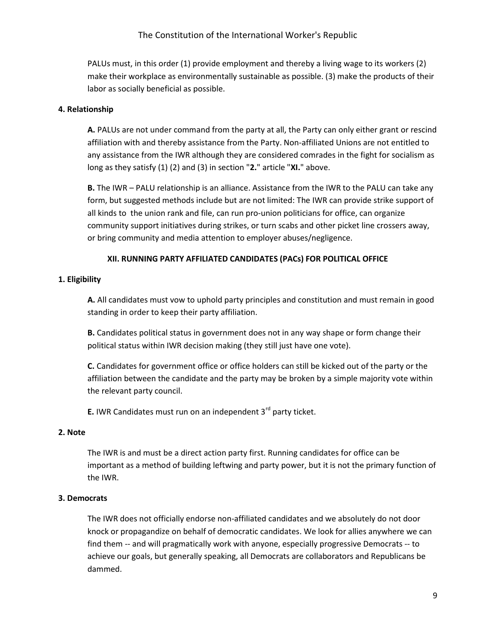PALUs must, in this order (1) provide employment and thereby a living wage to its workers (2) make their workplace as environmentally sustainable as possible. (3) make the products of their labor as socially beneficial as possible.

# 4. Relationship

A. PALUs are not under command from the party at all, the Party can only either grant or rescind affiliation with and thereby assistance from the Party. Non-affiliated Unions are not entitled to any assistance from the IWR although they are considered comrades in the fight for socialism as long as they satisfy (1) (2) and (3) in section "2." article "XI." above.

B. The IWR – PALU relationship is an alliance. Assistance from the IWR to the PALU can take any form, but suggested methods include but are not limited: The IWR can provide strike support of all kinds to the union rank and file, can run pro-union politicians for office, can organize community support initiatives during strikes, or turn scabs and other picket line crossers away, or bring community and media attention to employer abuses/negligence.

## XII. RUNNING PARTY AFFILIATED CANDIDATES (PACs) FOR POLITICAL OFFICE

# 1. Eligibility

A. All candidates must vow to uphold party principles and constitution and must remain in good standing in order to keep their party affiliation.

B. Candidates political status in government does not in any way shape or form change their political status within IWR decision making (they still just have one vote).

C. Candidates for government office or office holders can still be kicked out of the party or the affiliation between the candidate and the party may be broken by a simple majority vote within the relevant party council.

**E.** IWR Candidates must run on an independent  $3<sup>rd</sup>$  party ticket.

## 2. Note

The IWR is and must be a direct action party first. Running candidates for office can be important as a method of building leftwing and party power, but it is not the primary function of the IWR.

## 3. Democrats

The IWR does not officially endorse non-affiliated candidates and we absolutely do not door knock or propagandize on behalf of democratic candidates. We look for allies anywhere we can find them -- and will pragmatically work with anyone, especially progressive Democrats -- to achieve our goals, but generally speaking, all Democrats are collaborators and Republicans be dammed.